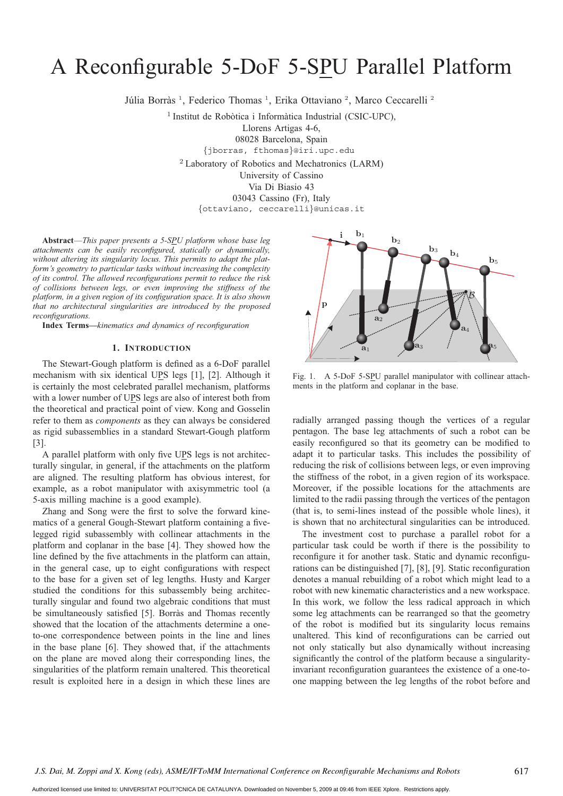# A Reconfigurable 5-DoF 5-SPU Parallel Platform

Júlia Borràs<sup>1</sup>, Federico Thomas<sup>1</sup>, Erika Ottaviano<sup>2</sup>, Marco Ceccarelli<sup>2</sup>

 $1$  Institut de Robòtica i Informàtica Industrial (CSIC-UPC),

Llorens Artigas 4-6,

08028 Barcelona, Spain

{jborras, fthomas}@iri.upc.edu

<sup>2</sup> Laboratory of Robotics and Mechatronics (LARM) University of Cassino Via Di Biasio 43 03043 Cassino (Fr), Italy {ottaviano, ceccarelli}@unicas.it

**Abstract**—*This paper presents a 5-SPU platform whose base leg attachments can be easily reconfigured, statically or dynamically, without altering its singularity locus. This permits to adapt the platform's geometry to particular tasks without increasing the complexity of its control. The allowed reconfigurations permit to reduce the risk of collisions between legs, or even improving the stiffness of the platform, in a given region of its configuration space. It is also shown that no architectural singularities are introduced by the proposed reconfigurations.*

**Index Terms—***kinematics and dynamics of reconfiguration*

## **1. INTRODUCTION**

The Stewart-Gough platform is defined as a 6-DoF parallel mechanism with six identical UPS legs [1], [2]. Although it is certainly the most celebrated parallel mechanism, platforms with a lower number of UPS legs are also of interest both from the theoretical and practical point of view. Kong and Gosselin refer to them as *components* as they can always be considered as rigid subassemblies in a standard Stewart-Gough platform [3].

A parallel platform with only five UPS legs is not architecturally singular, in general, if the attachments on the platform are aligned. The resulting platform has obvious interest, for example, as a robot manipulator with axisymmetric tool (a 5-axis milling machine is a good example).

Zhang and Song were the first to solve the forward kinematics of a general Gough-Stewart platform containing a fivelegged rigid subassembly with collinear attachments in the platform and coplanar in the base [4]. They showed how the line defined by the five attachments in the platform can attain, in the general case, up to eight configurations with respect to the base for a given set of leg lengths. Husty and Karger studied the conditions for this subassembly being architecturally singular and found two algebraic conditions that must be simultaneously satisfied [5]. Borràs and Thomas recently showed that the location of the attachments determine a oneto-one correspondence between points in the line and lines in the base plane [6]. They showed that, if the attachments on the plane are moved along their corresponding lines, the singularities of the platform remain unaltered. This theoretical result is exploited here in a design in which these lines are



Fig. 1. A 5-DoF 5-SPU parallel manipulator with collinear attachments in the platform and coplanar in the base.

radially arranged passing though the vertices of a regular pentagon. The base leg attachments of such a robot can be easily reconfigured so that its geometry can be modified to adapt it to particular tasks. This includes the possibility of reducing the risk of collisions between legs, or even improving the stiffness of the robot, in a given region of its workspace. Moreover, if the possible locations for the attachments are limited to the radii passing through the vertices of the pentagon (that is, to semi-lines instead of the possible whole lines), it is shown that no architectural singularities can be introduced.

The investment cost to purchase a parallel robot for a particular task could be worth if there is the possibility to reconfigure it for another task. Static and dynamic reconfigurations can be distinguished [7], [8], [9]. Static reconfiguration denotes a manual rebuilding of a robot which might lead to a robot with new kinematic characteristics and a new workspace. In this work, we follow the less radical approach in which some leg attachments can be rearranged so that the geometry of the robot is modified but its singularity locus remains unaltered. This kind of reconfigurations can be carried out not only statically but also dynamically without increasing significantly the control of the platform because a singularityinvariant reconfiguration guarantees the existence of a one-toone mapping between the leg lengths of the robot before and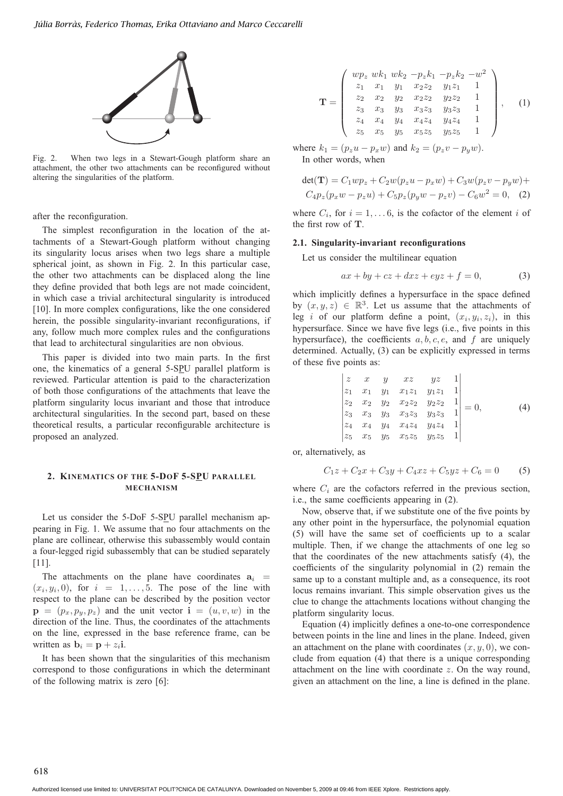

Fig. 2. When two legs in a Stewart-Gough platform share an attachment, the other two attachments can be reconfigured without altering the singularities of the platform.

after the reconfiguration.

The simplest reconfiguration in the location of the attachments of a Stewart-Gough platform without changing its singularity locus arises when two legs share a multiple spherical joint, as shown in Fig. 2. In this particular case, the other two attachments can be displaced along the line they define provided that both legs are not made coincident, in which case a trivial architectural singularity is introduced [10]. In more complex configurations, like the one considered herein, the possible singularity-invariant reconfigurations, if any, follow much more complex rules and the configurations that lead to architectural singularities are non obvious.

This paper is divided into two main parts. In the first one, the kinematics of a general 5-SPU parallel platform is reviewed. Particular attention is paid to the characterization of both those configurations of the attachments that leave the platform singularity locus invariant and those that introduce architectural singularities. In the second part, based on these theoretical results, a particular reconfigurable architecture is proposed an analyzed.

### **2. KINEMATICS OF THE 5-DOF 5-SPU PARALLEL MECHANISM**

Let us consider the 5-DoF 5-SPU parallel mechanism appearing in Fig. 1. We assume that no four attachments on the plane are collinear, otherwise this subassembly would contain a four-legged rigid subassembly that can be studied separately [11].

The attachments on the plane have coordinates  $a_i$  =  $(x_i, y_i, 0)$ , for  $i = 1, \ldots, 5$ . The pose of the line with respect to the plane can be described by the position vector  $\mathbf{p} = (p_x, p_y, p_z)$  and the unit vector  $\mathbf{i} = (u, v, w)$  in the direction of the line. Thus, the coordinates of the attachments on the line, expressed in the base reference frame, can be written as  $\mathbf{b}_i = \mathbf{p} + z_i \mathbf{i}$ .

It has been shown that the singularities of this mechanism correspond to those configurations in which the determinant of the following matrix is zero [6]:

$$
\mathbf{T} = \begin{pmatrix} wp_z & wk_1 & wk_2 & -p_z k_1 & -p_z k_2 & -w^2 \\ z_1 & x_1 & y_1 & x_2 z_2 & y_1 z_1 & 1 \\ z_2 & x_2 & y_2 & x_2 z_2 & y_2 z_2 & 1 \\ z_3 & x_3 & y_3 & x_3 z_3 & y_3 z_3 & 1 \\ z_4 & x_4 & y_4 & x_4 z_4 & y_4 z_4 & 1 \\ z_5 & x_5 & y_5 & x_5 z_5 & y_5 z_5 & 1 \end{pmatrix}, \quad (1)
$$

where  $k_1 = (p_z u - p_x w)$  and  $k_2 = (p_z v - p_y w)$ . In other words, when

$$
det(\mathbf{T}) = C_1wp_z + C_2w(p_zu - p_xw) + C_3w(p_zv - p_yw) +
$$
  
\n
$$
C_4p_z(p_xw - p_zu) + C_5p_z(p_yw - p_zv) - C_6w^2 = 0,
$$
 (2)

where  $C_i$ , for  $i = 1, \ldots 6$ , is the cofactor of the element i of the first row of **T**.

#### **2.1. Singularity-invariant reconfigurations**

Let us consider the multilinear equation

$$
ax + by + cz + dxz + eyz + f = 0,
$$
\n(3)

which implicitly defines a hypersurface in the space defined by  $(x, y, z) \in \mathbb{R}^3$ . Let us assume that the attachments of leg i of our platform define a point,  $(x_i, y_i, z_i)$ , in this hypersurface. Since we have five legs (i.e., five points in this hypersurface), the coefficients  $a, b, c, e$ , and f are uniquely determined. Actually, (3) can be explicitly expressed in terms of these five points as:

$$
\begin{vmatrix} z & x & y & xz & yz & 1 \ z_1 & x_1 & y_1 & x_1z_1 & y_1z_1 & 1 \ z_2 & x_2 & y_2 & x_2z_2 & y_2z_2 & 1 \ z_3 & x_3 & y_3 & x_3z_3 & y_3z_3 & 1 \ z_4 & x_4 & y_4 & x_4z_4 & y_4z_4 & 1 \ z_5 & x_5 & y_5 & x_5z_5 & y_5z_5 & 1 \ \end{vmatrix} = 0,
$$
 (4)

or, alternatively, as

$$
C_1 z + C_2 x + C_3 y + C_4 x z + C_5 y z + C_6 = 0
$$
 (5)

where  $C_i$  are the cofactors referred in the previous section, i.e., the same coefficients appearing in (2).

Now, observe that, if we substitute one of the five points by any other point in the hypersurface, the polynomial equation (5) will have the same set of coefficients up to a scalar multiple. Then, if we change the attachments of one leg so that the coordinates of the new attachments satisfy (4), the coefficients of the singularity polynomial in (2) remain the same up to a constant multiple and, as a consequence, its root locus remains invariant. This simple observation gives us the clue to change the attachments locations without changing the platform singularity locus.

Equation (4) implicitly defines a one-to-one correspondence between points in the line and lines in the plane. Indeed, given an attachment on the plane with coordinates  $(x, y, 0)$ , we conclude from equation (4) that there is a unique corresponding attachment on the line with coordinate  $z$ . On the way round, given an attachment on the line, a line is defined in the plane.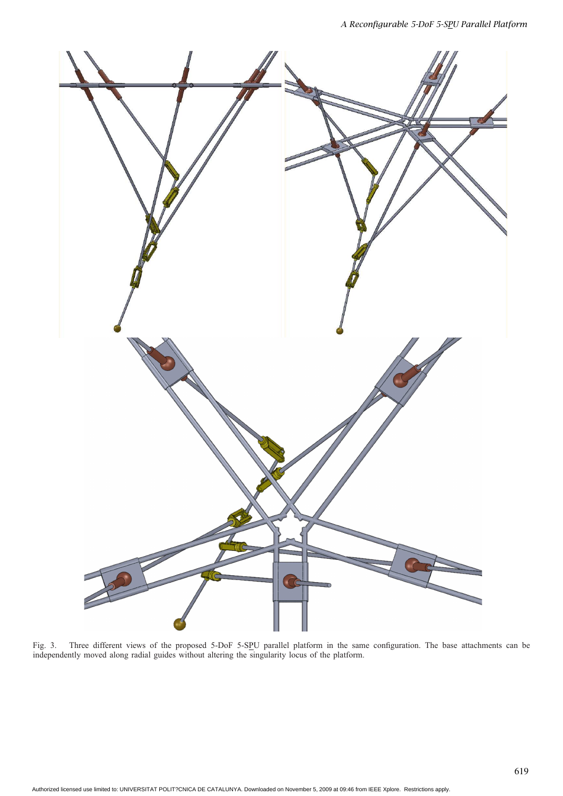

Fig. 3. Three different views of the proposed 5-DoF 5-SPU parallel platform in the same configuration. The base attachments can be independently moved along radial guides without altering the singularity locus of the platform.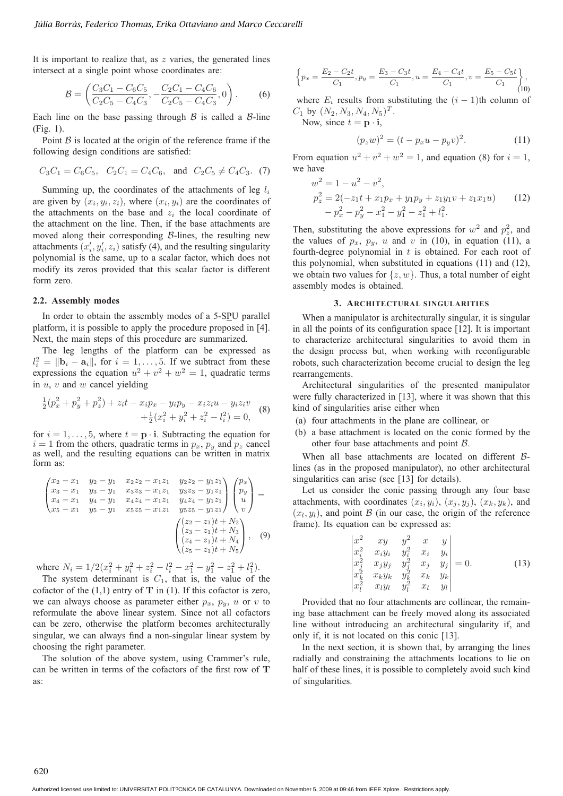It is important to realize that, as  $z$  varies, the generated lines intersect at a single point whose coordinates are:

$$
\mathcal{B} = \left( \frac{C_3 C_1 - C_6 C_5}{C_2 C_5 - C_4 C_3}, -\frac{C_2 C_1 - C_4 C_6}{C_2 C_5 - C_4 C_3}, 0 \right). \tag{6}
$$

Each line on the base passing through  $\beta$  is called a  $\beta$ -line (Fig. 1).

Point  $\beta$  is located at the origin of the reference frame if the following design conditions are satisfied:

$$
C_3C_1 = C_6C_5
$$
,  $C_2C_1 = C_4C_6$ , and  $C_2C_5 \neq C_4C_3$ . (7)

Summing up, the coordinates of the attachments of leg  $l_i$ are given by  $(x_i, y_i, z_i)$ , where  $(x_i, y_i)$  are the coordinates of the attachments on the base and  $z_i$  the local coordinate of the attachment on the line. Then, if the base attachments are moved along their corresponding  $\beta$ -lines, the resulting new attachments  $(x'_i, y'_i, z_i)$  satisfy (4), and the resulting singularity polynomial is the same, up to a scalar factor, which does not modify its zeros provided that this scalar factor is different form zero.

#### **2.2. Assembly modes**

In order to obtain the assembly modes of a 5-SPU parallel platform, it is possible to apply the procedure proposed in [4]. Next, the main steps of this procedure are summarized.

The leg lengths of the platform can be expressed as  $l_i^2 = ||\mathbf{b}_i - \mathbf{a}_i||$ , for  $i = 1, \dots, 5$ . If we subtract from these expressions the equation  $u^2 + v^2 + w^2 = 1$ , quadratic terms in  $u, v$  and  $w$  cancel yielding

$$
\frac{1}{2}(p_x^2 + p_y^2 + p_z^2) + z_i t - x_i p_x - y_i p_y - x_i z_i u - y_i z_i v \n+ \frac{1}{2}(x_i^2 + y_i^2 + z_i^2 - l_i^2) = 0,
$$
\n(8)

for  $i = 1, \ldots, 5$ , where  $t = \mathbf{p} \cdot \mathbf{i}$ . Subtracting the equation for  $i = 1$  from the others, quadratic terms in  $p_x$ ,  $p_y$  and  $p_z$  cancel as well, and the resulting equations can be written in matrix form as:

$$
\begin{pmatrix}\nx_2 - x_1 & y_2 - y_1 & x_2z_2 - x_1z_1 & y_2z_2 - y_1z_1 \\
x_3 - x_1 & y_3 - y_1 & x_3z_3 - x_1z_1 & y_3z_3 - y_1z_1 \\
x_4 - x_1 & y_4 - y_1 & x_4z_4 - x_1z_1 & y_4z_4 - y_1z_1 \\
x_5 - x_1 & y_5 - y_1 & x_5z_5 - x_1z_1 & y_5z_5 - y_1z_1\n\end{pmatrix}\n\begin{pmatrix}\np_x \\
p_y \\
u \\
v\n\end{pmatrix} = \begin{pmatrix}\nx_2 - x_1 & y_3 - y_1z_1 \\
x_4 - x_1 & y_4z_4 - y_1z_1 \\
x_5 - x_1 & y_5z_5 - x_1z_1 & y_5z_5 - y_1z_1\n\end{pmatrix},
$$
\n
$$
\begin{pmatrix}\n(z_2 - z_1)t + N_2 \\
(z_3 - z_1)t + N_3 \\
(z_4 - z_1)t + N_4 \\
(z_5 - z_1)t + N_5\n\end{pmatrix},
$$
\n(9)

where  $N_i = 1/2(x_i^2 + y_i^2 + z_i^2 - l_i^2 - x_1^2 - y_1^2 - z_1^2 + l_1^2)$ .

The system determinant is  $C_1$ , that is, the value of the cofactor of the  $(1,1)$  entry of **T** in  $(1)$ . If this cofactor is zero, we can always choose as parameter either  $p_x$ ,  $p_y$ , u or v to reformulate the above linear system. Since not all cofactors can be zero, otherwise the platform becomes architecturally singular, we can always find a non-singular linear system by choosing the right parameter.

The solution of the above system, using Crammer's rule, can be written in terms of the cofactors of the first row of **T** as:

$$
\left\{p_x = \frac{E_2 - C_2t}{C_1}, p_y = \frac{E_3 - C_3t}{C_1}, u = \frac{E_4 - C_4t}{C_1}, v = \frac{E_5 - C_5t}{C_1}\right\},\tag{10}
$$

where  $E_i$  results from substituting the  $(i - 1)$ th column of  $C_1$  by  $(N_2, N_3, N_4, N_5)^T$ .

Now, since  $t = \mathbf{p} \cdot \mathbf{i}$ ,

$$
(p_z w)^2 = (t - p_x u - p_y v)^2.
$$
 (11)

From equation  $u^2 + v^2 + w^2 = 1$ , and equation (8) for  $i = 1$ , we have

$$
w2 = 1 - u2 - v2,
$$
  
\n
$$
pz2 = 2(-z1t + x1px + y1py + z1y1v + z1x1u) (12)\n
$$
-px2 - py2 - x12 - y12 - z12 + l12.
$$
$$

Then, substituting the above expressions for  $w^2$  and  $p_z^2$ , and the values of  $p_x$ ,  $p_y$ , u and v in (10), in equation (11), a fourth-degree polynomial in  $t$  is obtained. For each root of this polynomial, when substituted in equations (11) and (12), we obtain two values for  $\{z, w\}$ . Thus, a total number of eight assembly modes is obtained.

#### **3. ARCHITECTURAL SINGULARITIES**

When a manipulator is architecturally singular, it is singular in all the points of its configuration space [12]. It is important to characterize architectural singularities to avoid them in the design process but, when working with reconfigurable robots, such characterization become crucial to design the leg rearrangements.

Architectural singularities of the presented manipulator were fully characterized in [13], where it was shown that this kind of singularities arise either when

- (a) four attachments in the plane are collinear, or
- (b) a base attachment is located on the conic formed by the other four base attachments and point B.

When all base attachments are located on different  $\beta$ lines (as in the proposed manipulator), no other architectural singularities can arise (see [13] for details).

Let us consider the conic passing through any four base attachments, with coordinates  $(x_i, y_i)$ ,  $(x_i, y_j)$ ,  $(x_k, y_k)$ , and  $(x_l, y_l)$ , and point B (in our case, the origin of the reference frame). Its equation can be expressed as:

$$
\begin{vmatrix} x^2 & xy & y^2 & x & y \ x_i^2 & x_iy_i & y_i^2 & x_i & y_i \ x_j^2 & x_jy_j & y_j^2 & x_j & y_j \ x_k^2 & x_ky_k & y_k^2 & x_k & y_k \ x_l^2 & x_ly_l & y_l^2 & x_l & y_l \end{vmatrix} = 0.
$$
 (13)

Provided that no four attachments are collinear, the remaining base attachment can be freely moved along its associated line without introducing an architectural singularity if, and only if, it is not located on this conic [13].

In the next section, it is shown that, by arranging the lines radially and constraining the attachments locations to lie on half of these lines, it is possible to completely avoid such kind of singularities.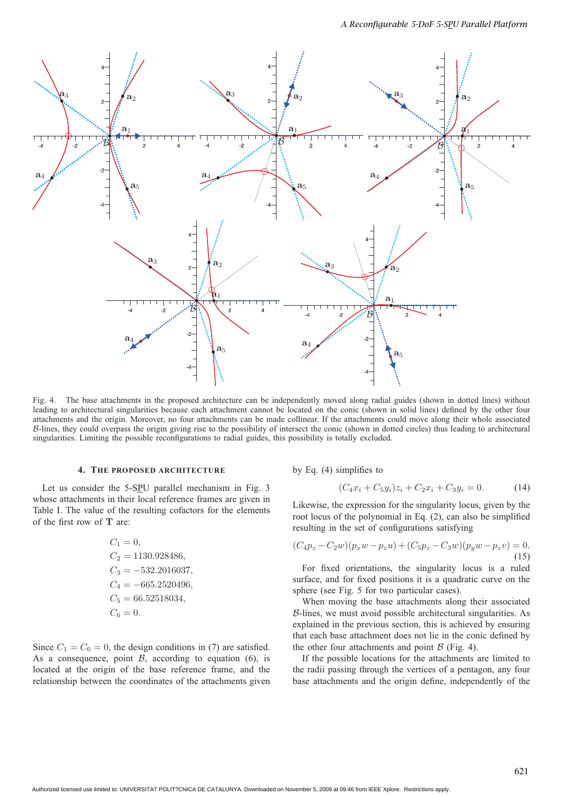

Fig. 4. The base attachments in the proposed architecture can be independently moved along radial guides (shown in dotted lines) without leading to architectural singularities because each attachment cannot be located on the conic (shown in solid lines) defined by the other four attachments and the origin. Moreover, no four attachments can be made collinear. If the attachments could move along their whole associated B-lines, they could overpass the origin giving rise to the possibility of intersect the conic (shown in dotted circles) thus leading to architectural singularities. Limiting the possible reconfigurations to radial guides, this possibility is totally excluded.

#### **4. THE PROPOSED ARCHITECTURE**

Let us consider the 5-SPU parallel mechanism in Fig. 3 whose attachments in their local reference frames are given in Table I. The value of the resulting cofactors for the elements of the first row of **T** are:

$$
C_1 = 0,
$$
  
\n
$$
C_2 = 1130.928486,
$$
  
\n
$$
C_3 = -532.2016037,
$$
  
\n
$$
C_4 = -665.2520496,
$$
  
\n
$$
C_5 = 66.52518034,
$$
  
\n
$$
C_6 = 0.
$$

Since  $C_1 = C_6 = 0$ , the design conditions in (7) are satisfied. As a consequence, point  $\beta$ , according to equation (6), is located at the origin of the base reference frame, and the relationship between the coordinates of the attachments given

by Eq. (4) simplifies to

$$
(C_4x_i + C_5y_i)z_i + C_2x_i + C_3y_i = 0.
$$
 (14)

Likewise, the expression for the singularity locus, given by the root locus of the polynomial in Eq. (2), can also be simplified resulting in the set of configurations satisfying

$$
(C_4p_z - C_2w)(p_xw - p_zu) + (C_5p_z - C_3w)(p_yw - p_zv) = 0.
$$
\n(15)

For fixed orientations, the singularity locus is a ruled surface, and for fixed positions it is a quadratic curve on the sphere (see Fig. 5 for two particular cases).

When moving the base attachments along their associated  $\beta$ -lines, we must avoid possible architectural singularities. As explained in the previous section, this is achieved by ensuring that each base attachment does not lie in the conic defined by the other four attachments and point  $\beta$  (Fig. 4).

If the possible locations for the attachments are limited to the radii passing through the vertices of a pentagon, any four base attachments and the origin define, independently of the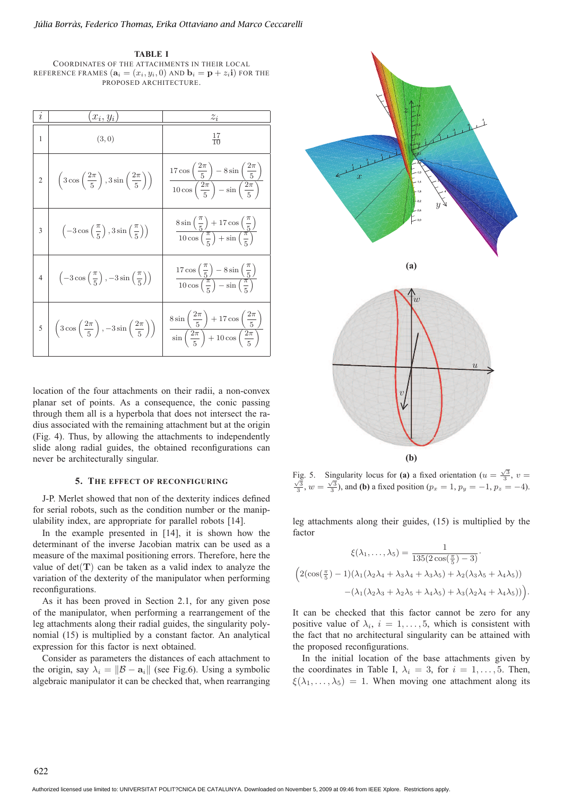**TABLE I** COORDINATES OF THE ATTACHMENTS IN THEIR LOCAL REFERENCE FRAMES  $(\mathbf{a}_i = (x_i, y_i, 0)$  and  $\mathbf{b}_i = \mathbf{p} + z_i \mathbf{i})$  for the PROPOSED ARCHITECTURE.

| $\iota$        | $x_i, y_i)$                                                                        | $z_i$                                                                                                                                          |
|----------------|------------------------------------------------------------------------------------|------------------------------------------------------------------------------------------------------------------------------------------------|
| $\mathbf{1}$   | (3,0)                                                                              | $\frac{17}{10}$                                                                                                                                |
| $\overline{2}$ | $\left(3\cos\left(\frac{2\pi}{5}\right),3\sin\left(\frac{2\pi}{5}\right)\right)$   | $\frac{17\cos\left(\frac{2\pi}{5}\right)-8\sin\left(\frac{2\pi}{5}\right)}{10\cos\left(\frac{2\pi}{5}\right)-\sin\left(\frac{2\pi}{5}\right)}$ |
| 3              | $\left(-3\cos\left(\frac{\pi}{5}\right),3\sin\left(\frac{\pi}{5}\right)\right)$    | $8\sin\left(\frac{\pi}{5}\right) + 17\cos\left(\frac{\pi}{5}\right)$<br>$10\cos\left(\frac{\pi}{5}\right) + \sin\left(\frac{\pi}{5}\right)$    |
| $\overline{4}$ | $\left(-3\cos\left(\frac{\pi}{5}\right), -3\sin\left(\frac{\pi}{5}\right)\right)$  | $\frac{17\cos\left(\frac{\pi}{5}\right)-8\sin\left(\frac{\pi}{5}\right)}{10\cos\left(\frac{\pi}{5}\right)-\sin\left(\frac{\pi}{5}\right)}$     |
|                | $\left(3\cos\left(\frac{2\pi}{5}\right), -3\sin\left(\frac{2\pi}{5}\right)\right)$ | $\frac{8\sin\left(\frac{2\pi}{5}\right)+17\cos\left(\frac{2\pi}{5}\right)}{\sin\left(\frac{2\pi}{5}\right)+10\cos\left(\frac{2\pi}{5}\right)}$ |

location of the four attachments on their radii, a non-convex planar set of points. As a consequence, the conic passing through them all is a hyperbola that does not intersect the radius associated with the remaining attachment but at the origin (Fig. 4). Thus, by allowing the attachments to independently slide along radial guides, the obtained reconfigurations can never be architecturally singular.

## **5. THE EFFECT OF RECONFIGURING**

J-P. Merlet showed that non of the dexterity indices defined for serial robots, such as the condition number or the manipulability index, are appropriate for parallel robots [14].

In the example presented in [14], it is shown how the determinant of the inverse Jacobian matrix can be used as a measure of the maximal positioning errors. Therefore, here the value of  $det(T)$  can be taken as a valid index to analyze the variation of the dexterity of the manipulator when performing reconfigurations.

As it has been proved in Section 2.1, for any given pose of the manipulator, when performing a rearrangement of the leg attachments along their radial guides, the singularity polynomial (15) is multiplied by a constant factor. An analytical expression for this factor is next obtained.

Consider as parameters the distances of each attachment to the origin, say  $\lambda_i = ||\mathcal{B} - \mathbf{a}_i||$  (see Fig.6). Using a symbolic algebraic manipulator it can be checked that, when rearranging



Fig. 5. Singularity locus for **(a)** a fixed orientation  $(u = \frac{\sqrt{3}}{3}, v = \frac{\sqrt{3}}{3}, w = \frac{\sqrt{3}}{3})$ , and **(b)** a fixed position  $(p_x = 1, p_y = -1, p_z = -4)$ .

leg attachments along their guides, (15) is multiplied by the factor

$$
\xi(\lambda_1, ..., \lambda_5) = \frac{1}{135(2\cos(\frac{\pi}{5}) - 3)}.
$$

$$
\left(2(\cos(\frac{\pi}{5}) - 1)(\lambda_1(\lambda_2\lambda_4 + \lambda_3\lambda_4 + \lambda_3\lambda_5) + \lambda_2(\lambda_3\lambda_5 + \lambda_4\lambda_5)) - (\lambda_1(\lambda_2\lambda_3 + \lambda_2\lambda_5 + \lambda_4\lambda_5) + \lambda_3(\lambda_2\lambda_4 + \lambda_4\lambda_5))\right).
$$

It can be checked that this factor cannot be zero for any positive value of  $\lambda_i$ ,  $i = 1, \ldots, 5$ , which is consistent with the fact that no architectural singularity can be attained with the proposed reconfigurations.

In the initial location of the base attachments given by the coordinates in Table I,  $\lambda_i = 3$ , for  $i = 1, \ldots, 5$ . Then,  $\xi(\lambda_1,\ldots,\lambda_5)=1$ . When moving one attachment along its